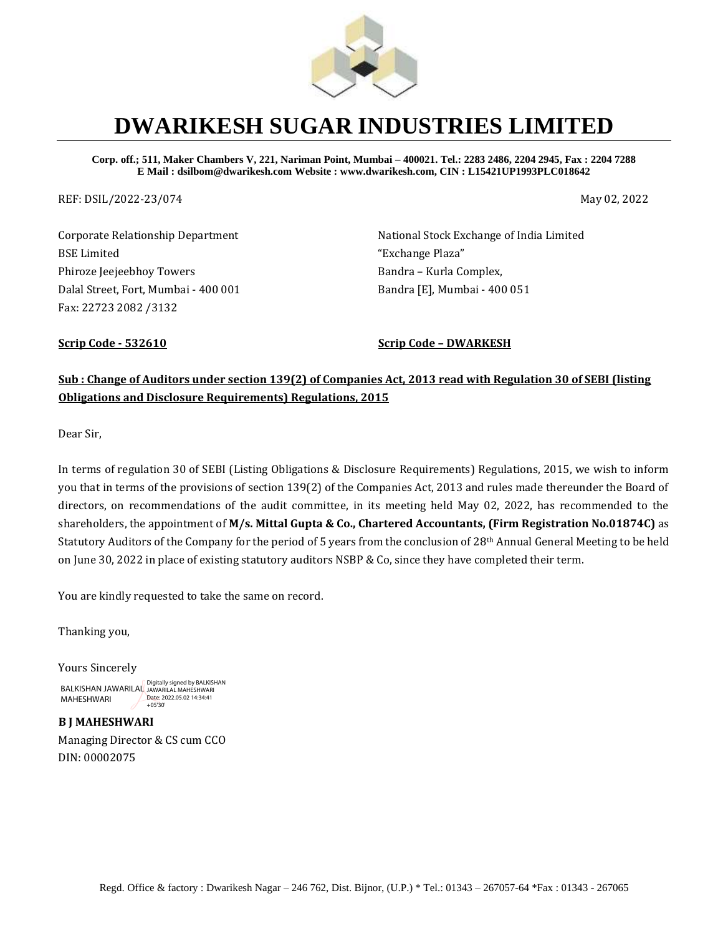

# **DWARIKESH SUGAR INDUSTRIES LIMITED**

**Corp. off.; 511, Maker Chambers V, 221, Nariman Point, Mumbai – 400021. Tel.: 2283 2486, 2204 2945, Fax : 2204 7288 E Mail : dsilbom@dwarikesh.com Website : www.dwarikesh.com, CIN : L15421UP1993PLC018642**

REF: DSIL/2022-23/074 May 02, 2022

Corporate Relationship Department BSE Limited Phiroze Jeejeebhoy Towers Dalal Street, Fort, Mumbai - 400 001 Fax: 22723 2082 /3132

National Stock Exchange of India Limited "Exchange Plaza" Bandra – Kurla Complex, Bandra [E], Mumbai - 400 051

**Scrip Code - 532610 Scrip Code – DWARKESH**

#### **Sub : Change of Auditors under section 139(2) of Companies Act, 2013 read with Regulation 30 of SEBI (listing Obligations and Disclosure Requirements) Regulations, 2015**

Dear Sir,

In terms of regulation 30 of SEBI (Listing Obligations & Disclosure Requirements) Regulations, 2015, we wish to inform you that in terms of the provisions of section 139(2) of the Companies Act, 2013 and rules made thereunder the Board of directors, on recommendations of the audit committee, in its meeting held May 02, 2022, has recommended to the shareholders, the appointment of **M/s. Mittal Gupta & Co., Chartered Accountants, (Firm Registration No.01874C)** as Statutory Auditors of the Company for the period of 5 years from the conclusion of 28th Annual General Meeting to be held on June 30, 2022 in place of existing statutory auditors NSBP & Co, since they have completed their term.

You are kindly requested to take the same on record.

Thanking you,

Yours Sincerely

BALKISHAN JAWARILAL Digitally signed by BALKISHAN MAHESHWARI Date: 2022.05.02 14:34:41 +05'30'

**B J MAHESHWARI** Managing Director & CS cum CCO DIN: 00002075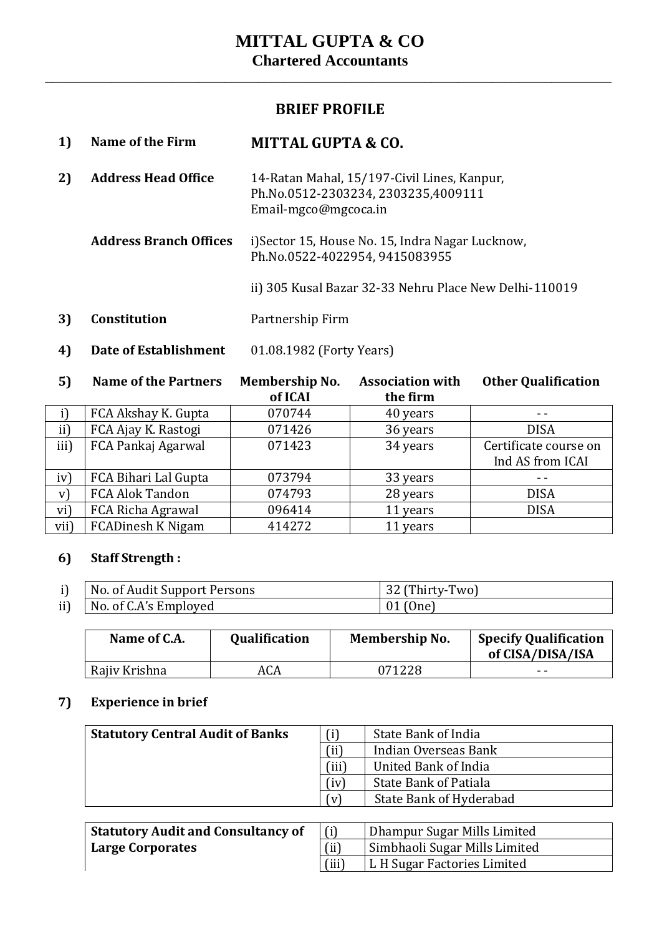\_\_\_\_\_\_\_\_\_\_\_\_\_\_\_\_\_\_\_\_\_\_\_\_\_\_\_\_\_\_\_\_\_\_\_\_\_\_\_\_\_\_\_\_\_\_\_\_\_\_\_\_\_\_\_\_\_\_\_\_\_\_\_\_\_\_\_\_\_\_\_\_\_\_\_\_\_\_\_\_\_\_\_\_\_

### **BRIEF PROFILE**

| 1)                               | <b>Name of the Firm</b>       | <b>MITTAL GUPTA &amp; CO.</b>                                                                              |  |
|----------------------------------|-------------------------------|------------------------------------------------------------------------------------------------------------|--|
| <b>Address Head Office</b><br>2) |                               | 14-Ratan Mahal, 15/197-Civil Lines, Kanpur,<br>Ph.No.0512-2303234, 2303235,4009111<br>Email-mgco@mgcoca.in |  |
|                                  | <b>Address Branch Offices</b> | i) Sector 15, House No. 15, Indra Nagar Lucknow,<br>Ph.No.0522-4022954, 9415083955                         |  |
|                                  |                               | ii) 305 Kusal Bazar 32-33 Nehru Place New Delhi-110019                                                     |  |
| 3)                               | <b>Constitution</b>           | Partnership Firm                                                                                           |  |
| 4)                               | Date of Establishment         | 01.08.1982 (Forty Years)                                                                                   |  |

**5) Name of the Partners Membership No. Association with Other Qualification**

|      |                          | of ICAI | the firm |                       |
|------|--------------------------|---------|----------|-----------------------|
|      | FCA Akshay K. Gupta      | 070744  | 40 years |                       |
| ii)  | FCA Ajay K. Rastogi      | 071426  | 36 years | <b>DISA</b>           |
| iii) | FCA Pankaj Agarwal       | 071423  | 34 years | Certificate course on |
|      |                          |         |          | Ind AS from ICAI      |
| iv)  | FCA Bihari Lal Gupta     | 073794  | 33 years |                       |
| V)   | FCA Alok Tandon          | 074793  | 28 years | <b>DISA</b>           |
| vi)  | FCA Richa Agrawal        | 096414  | 11 years | <b>DISA</b>           |
| vii) | <b>FCADinesh K Nigam</b> | 414272  | 11 years |                       |

### **6) Staff Strength :**

| No. of Audit Support Persons      | (Thirty-Two) |
|-----------------------------------|--------------|
| ii) $\vert$ No. of C.A's Employed | $01$ (One)   |

| Name of C.A.  | <b>Qualification</b> | <b>Membership No.</b> | <b>Specify Qualification</b><br>of CISA/DISA/ISA |
|---------------|----------------------|-----------------------|--------------------------------------------------|
| Rajiv Krishna | ACA                  | 071228                | - -                                              |

#### **7) Experience in brief**

| <b>Statutory Central Audit of Banks</b> |       | State Bank of India            |
|-----------------------------------------|-------|--------------------------------|
|                                         | (ii)  | Indian Overseas Bank           |
|                                         | (iii) | United Bank of India           |
|                                         | (iv)  | State Bank of Patiala          |
|                                         | (v)   | <b>State Bank of Hyderabad</b> |
|                                         |       |                                |

| <b>Statutory Audit and Consultancy of</b> |       | Dhampur Sugar Mills Limited   |
|-------------------------------------------|-------|-------------------------------|
| Large Corporates                          | (ii)  | Simbhaoli Sugar Mills Limited |
|                                           | (iii) | L H Sugar Factories Limited   |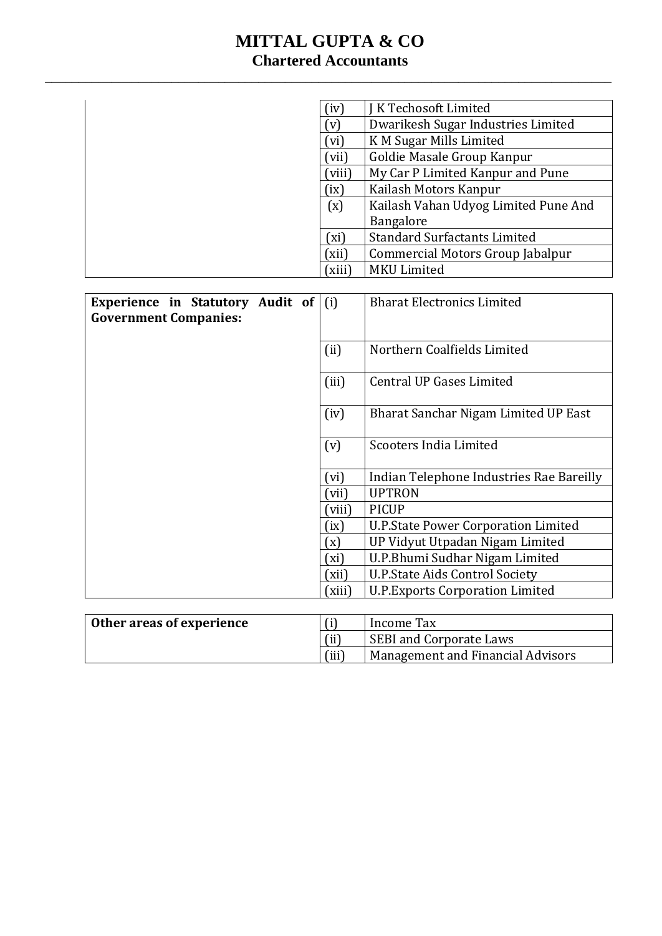## **MITTAL GUPTA & CO Chartered Accountants**

\_\_\_\_\_\_\_\_\_\_\_\_\_\_\_\_\_\_\_\_\_\_\_\_\_\_\_\_\_\_\_\_\_\_\_\_\_\_\_\_\_\_\_\_\_\_\_\_\_\_\_\_\_\_\_\_\_\_\_\_\_\_\_\_\_\_\_\_\_\_\_\_\_\_\_\_\_\_\_\_\_\_\_\_\_

|                                  | (iv)   | <b>IK Techosoft Limited</b>                |
|----------------------------------|--------|--------------------------------------------|
|                                  | (v)    | Dwarikesh Sugar Industries Limited         |
|                                  | (vi)   | K M Sugar Mills Limited                    |
|                                  | (vii)  | Goldie Masale Group Kanpur                 |
|                                  | (viii) | My Car P Limited Kanpur and Pune           |
|                                  | (ix)   | Kailash Motors Kanpur                      |
|                                  | (x)    | Kailash Vahan Udyog Limited Pune And       |
|                                  |        | Bangalore                                  |
|                                  | (xi)   | <b>Standard Surfactants Limited</b>        |
|                                  | (xii)  | Commercial Motors Group Jabalpur           |
|                                  | (xiii) | <b>MKU Limited</b>                         |
|                                  |        |                                            |
| Experience in Statutory Audit of | (i)    | <b>Bharat Electronics Limited</b>          |
| <b>Government Companies:</b>     |        |                                            |
|                                  |        |                                            |
|                                  | (ii)   | Northern Coalfields Limited                |
|                                  |        |                                            |
|                                  | (iii)  | <b>Central UP Gases Limited</b>            |
|                                  |        | Bharat Sanchar Nigam Limited UP East       |
|                                  | (iv)   |                                            |
|                                  | (v)    | <b>Scooters India Limited</b>              |
|                                  |        |                                            |
|                                  | (vi)   | Indian Telephone Industries Rae Bareilly   |
|                                  | (vii)  | <b>UPTRON</b>                              |
|                                  | (viii) | <b>PICUP</b>                               |
|                                  | (ix)   | <b>U.P.State Power Corporation Limited</b> |
|                                  | (x)    | UP Vidyut Utpadan Nigam Limited            |
|                                  | (xi)   | U.P.Bhumi Sudhar Nigam Limited             |
|                                  | (xii)  | <b>U.P.State Aids Control Society</b>      |
|                                  | (xiii) | <b>U.P. Exports Corporation Limited</b>    |
|                                  |        |                                            |
| Other areas of experience        | (i)    | <b>Income Tax</b>                          |
|                                  | (ii)   | <b>SEBI and Corporate Laws</b>             |
|                                  | (iii)  | <b>Management and Financial Advisors</b>   |